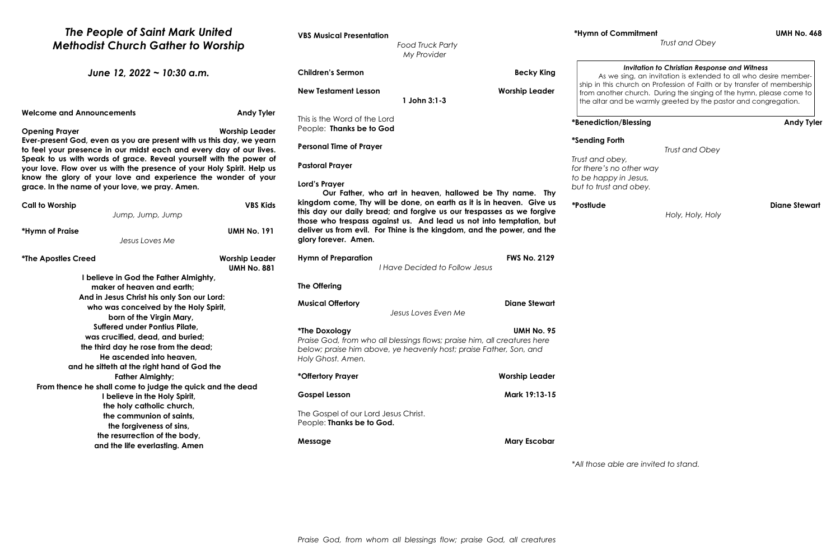| The People of Saint Mark United<br><b>Methodist Church Gather to Worship</b>                                                                                                                                                                                                                                                                                                                                                                                                                                   |                                             | <b>VBS Musical Presentation</b><br><b>Food Truck Party</b><br>My Provider                                                                                                                                 |                                                       | *Hymn of Co                                    |  |
|----------------------------------------------------------------------------------------------------------------------------------------------------------------------------------------------------------------------------------------------------------------------------------------------------------------------------------------------------------------------------------------------------------------------------------------------------------------------------------------------------------------|---------------------------------------------|-----------------------------------------------------------------------------------------------------------------------------------------------------------------------------------------------------------|-------------------------------------------------------|------------------------------------------------|--|
| June 12, 2022 ~ 10:30 a.m.                                                                                                                                                                                                                                                                                                                                                                                                                                                                                     |                                             | <b>Children's Sermon</b>                                                                                                                                                                                  | <b>Becky King</b>                                     | As we                                          |  |
|                                                                                                                                                                                                                                                                                                                                                                                                                                                                                                                |                                             | <b>New Testament Lesson</b><br>1 John 3:1-3                                                                                                                                                               | <b>Worship Leader</b>                                 | ship in this c<br>from anothe<br>the altar and |  |
| <b>Welcome and Announcements</b>                                                                                                                                                                                                                                                                                                                                                                                                                                                                               | <b>Andy Tyler</b>                           | This is the Word of the Lord                                                                                                                                                                              |                                                       | *Benediction                                   |  |
| <b>Worship Leader</b><br><b>Opening Prayer</b><br>Ever-present God, even as you are present with us this day, we yearn<br>to feel your presence in our midst each and every day of our lives.<br>Speak to us with words of grace. Reveal yourself with the power of<br>your love. Flow over us with the presence of your Holy Spirit. Help us<br>know the glory of your love and experience the wonder of your<br>grace. In the name of your love, we pray. Amen.<br><b>VBS Kids</b><br><b>Call to Worship</b> |                                             | People: Thanks be to God                                                                                                                                                                                  |                                                       |                                                |  |
|                                                                                                                                                                                                                                                                                                                                                                                                                                                                                                                |                                             | <b>Personal Time of Prayer</b>                                                                                                                                                                            |                                                       | *Sending Fort                                  |  |
|                                                                                                                                                                                                                                                                                                                                                                                                                                                                                                                |                                             | <b>Pastoral Prayer</b>                                                                                                                                                                                    |                                                       | Trust and obe<br>for there's no                |  |
|                                                                                                                                                                                                                                                                                                                                                                                                                                                                                                                |                                             | Lord's Prayer                                                                                                                                                                                             |                                                       | to be happy<br>but to trust ar                 |  |
|                                                                                                                                                                                                                                                                                                                                                                                                                                                                                                                |                                             | Our Father, who art in heaven, hallowed be Thy name. Thy<br>kingdom come, Thy will be done, on earth as it is in heaven. Give us<br>this day our daily bread; and forgive us our trespasses as we forgive |                                                       | *Postlude                                      |  |
| Jump, Jump, Jump                                                                                                                                                                                                                                                                                                                                                                                                                                                                                               |                                             | those who trespass against us. And lead us not into temptation, but                                                                                                                                       |                                                       |                                                |  |
| <b>UMH No. 191</b><br>*Hymn of Praise<br>Jesus Loves Me                                                                                                                                                                                                                                                                                                                                                                                                                                                        |                                             | deliver us from evil. For Thine is the kingdom, and the power, and the<br>glory forever. Amen.                                                                                                            |                                                       |                                                |  |
| <i><b>*The Apostles Creed</b></i>                                                                                                                                                                                                                                                                                                                                                                                                                                                                              | <b>Worship Leader</b><br><b>UMH No. 881</b> | <b>Hymn of Preparation</b>                                                                                                                                                                                | <b>FWS No. 2129</b><br>I Have Decided to Follow Jesus |                                                |  |
| I believe in God the Father Almighty,                                                                                                                                                                                                                                                                                                                                                                                                                                                                          |                                             |                                                                                                                                                                                                           |                                                       |                                                |  |
| maker of heaven and earth;                                                                                                                                                                                                                                                                                                                                                                                                                                                                                     |                                             | <b>The Offering</b>                                                                                                                                                                                       |                                                       |                                                |  |
| And in Jesus Christ his only Son our Lord:                                                                                                                                                                                                                                                                                                                                                                                                                                                                     |                                             |                                                                                                                                                                                                           | <b>Diane Stewart</b>                                  |                                                |  |
| who was conceived by the Holy Spirit,                                                                                                                                                                                                                                                                                                                                                                                                                                                                          |                                             | <b>Musical Offertory</b><br>Jesus Loves Even Me                                                                                                                                                           |                                                       |                                                |  |
| born of the Virgin Mary,                                                                                                                                                                                                                                                                                                                                                                                                                                                                                       |                                             |                                                                                                                                                                                                           |                                                       |                                                |  |
| <b>Suffered under Pontius Pilate,</b>                                                                                                                                                                                                                                                                                                                                                                                                                                                                          |                                             | *The Doxology                                                                                                                                                                                             | <b>UMH No. 95</b>                                     |                                                |  |
| was crucified, dead, and buried;                                                                                                                                                                                                                                                                                                                                                                                                                                                                               |                                             | Praise God, from who all blessings flows; praise him, all creatures here                                                                                                                                  |                                                       |                                                |  |
| the third day he rose from the dead;                                                                                                                                                                                                                                                                                                                                                                                                                                                                           |                                             | below; praise him above, ye heavenly host; praise Father, Son, and                                                                                                                                        |                                                       |                                                |  |
| He ascended into heaven,                                                                                                                                                                                                                                                                                                                                                                                                                                                                                       |                                             | Holy Ghost. Amen.                                                                                                                                                                                         |                                                       |                                                |  |
| and he sitteth at the right hand of God the                                                                                                                                                                                                                                                                                                                                                                                                                                                                    |                                             |                                                                                                                                                                                                           |                                                       |                                                |  |
| <b>Father Almighty;</b>                                                                                                                                                                                                                                                                                                                                                                                                                                                                                        |                                             | *Offertory Prayer                                                                                                                                                                                         | <b>Worship Leader</b>                                 |                                                |  |
| From thence he shall come to judge the quick and the dead<br>I believe in the Holy Spirit,                                                                                                                                                                                                                                                                                                                                                                                                                     |                                             | <b>Gospel Lesson</b>                                                                                                                                                                                      | Mark 19:13-15                                         |                                                |  |
| the holy catholic church,                                                                                                                                                                                                                                                                                                                                                                                                                                                                                      |                                             |                                                                                                                                                                                                           |                                                       |                                                |  |
| the communion of saints,                                                                                                                                                                                                                                                                                                                                                                                                                                                                                       |                                             | The Gospel of our Lord Jesus Christ.                                                                                                                                                                      |                                                       |                                                |  |
| the forgiveness of sins,                                                                                                                                                                                                                                                                                                                                                                                                                                                                                       |                                             | People: Thanks be to God.                                                                                                                                                                                 |                                                       |                                                |  |
| the resurrection of the body,                                                                                                                                                                                                                                                                                                                                                                                                                                                                                  |                                             |                                                                                                                                                                                                           |                                                       |                                                |  |
| and the life everlasting. Amen                                                                                                                                                                                                                                                                                                                                                                                                                                                                                 |                                             | Message                                                                                                                                                                                                   | <b>Mary Escobar</b>                                   |                                                |  |
|                                                                                                                                                                                                                                                                                                                                                                                                                                                                                                                |                                             |                                                                                                                                                                                                           |                                                       |                                                |  |

*Praise God, from whom all blessings flow; praise God, all creatures* 

### **\*Hymn of Commitment UMH No. 468**

*Trust and Obey*

#### **\*Sending Forth**

*Trust and Obey*

*Trust and obey, for there's no other way to be happy in Jesus, but to trust and obey.*

**Diane Stewart** 

 *Holy, Holy, Holy*

*\*All those able are invited to stand.*

## *Invitation to Christian Response and Witness*

*a* sing, an invitation is extended to all who desire memberchurch on Profession of Faith or by transfer of membership er church. During the singing of the hymn, please come to id be warmly greeted by the pastor and congregation.

# *Andy Tyler* Andy Tyler